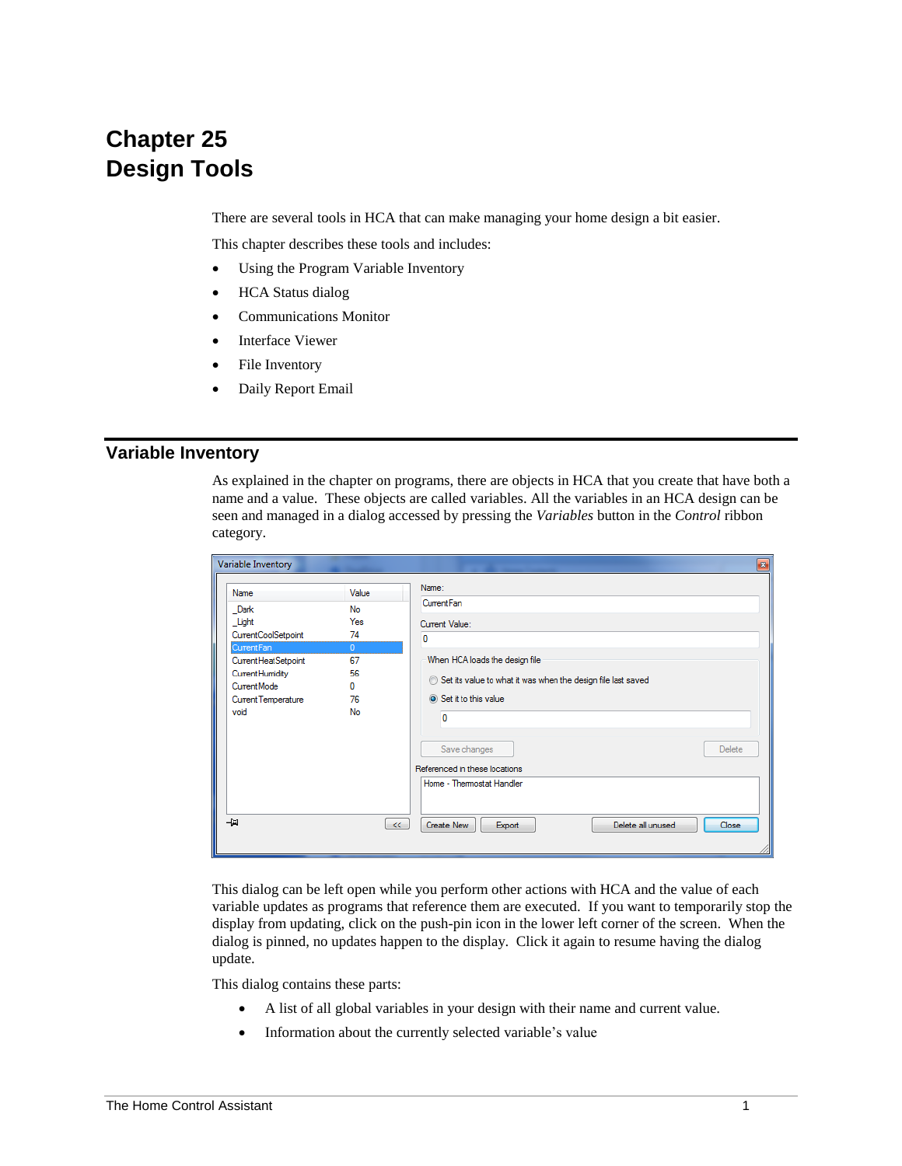# **Chapter 25 Design Tools**

There are several tools in HCA that can make managing your home design a bit easier.

This chapter describes these tools and includes:

- Using the Program Variable Inventory
- HCA Status dialog
- Communications Monitor
- Interface Viewer
- File Inventory
- Daily Report Email

## **Variable Inventory**

As explained in the chapter on programs, there are objects in HCA that you create that have both a name and a value. These objects are called variables. All the variables in an HCA design can be seen and managed in a dialog accessed by pressing the *Variables* button in the *Control* ribbon category.

| Variable Inventory                                                                                                                                     |                                                                   | $\mathbf{z}$                                                                                                                                                                                                                                                                  |
|--------------------------------------------------------------------------------------------------------------------------------------------------------|-------------------------------------------------------------------|-------------------------------------------------------------------------------------------------------------------------------------------------------------------------------------------------------------------------------------------------------------------------------|
| Name<br>Dark<br>Light<br>CurrentCoolSetpoint<br>Current Fan<br>Current Heat Setpoint<br>Current Humidity<br>CurrentMode<br>Current Temperature<br>void | Value<br>No<br>Yes<br>74<br>$\Omega$<br>67<br>56<br>n<br>76<br>No | Name:<br>Current Fan<br>Current Value:<br>0<br>When HCA loads the design file<br>Set its value to what it was when the design file last saved<br>Set it to this value<br>$\mathbf{0}$<br>Save changes<br>Delete<br>Referenced in these locations<br>Home - Thermostat Handler |
| 一回                                                                                                                                                     |                                                                   | Delete all unused<br>Close<br>Create New<br>Export<br><<                                                                                                                                                                                                                      |

This dialog can be left open while you perform other actions with HCA and the value of each variable updates as programs that reference them are executed. If you want to temporarily stop the display from updating, click on the push-pin icon in the lower left corner of the screen. When the dialog is pinned, no updates happen to the display. Click it again to resume having the dialog update.

This dialog contains these parts:

- A list of all global variables in your design with their name and current value.
- Information about the currently selected variable's value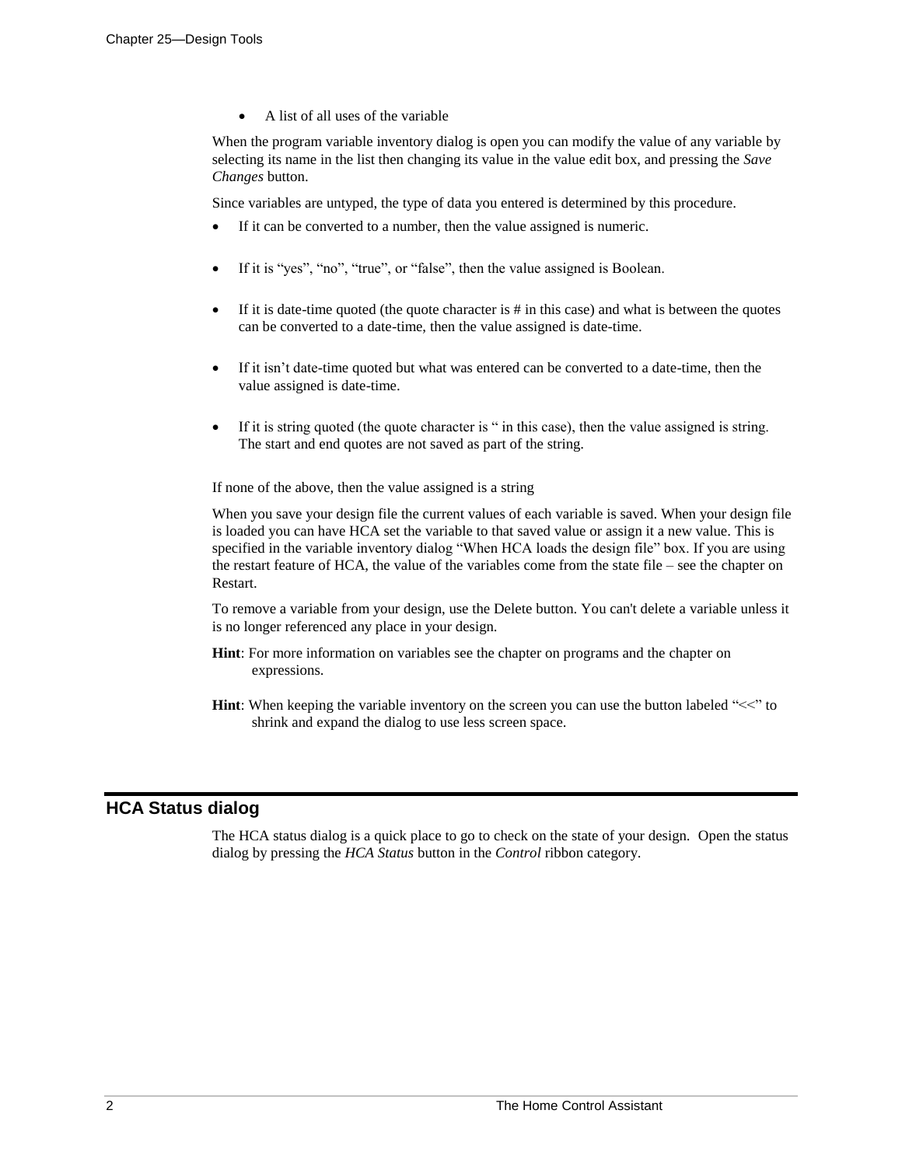• A list of all uses of the variable

When the program variable inventory dialog is open you can modify the value of any variable by selecting its name in the list then changing its value in the value edit box, and pressing the *Save Changes* button.

Since variables are untyped, the type of data you entered is determined by this procedure.

- If it can be converted to a number, then the value assigned is numeric.
- If it is "yes", "no", "true", or "false", then the value assigned is Boolean.
- If it is date-time quoted (the quote character is  $\#$  in this case) and what is between the quotes can be converted to a date-time, then the value assigned is date-time.
- If it isn't date-time quoted but what was entered can be converted to a date-time, then the value assigned is date-time.
- If it is string quoted (the quote character is " in this case), then the value assigned is string. The start and end quotes are not saved as part of the string.

If none of the above, then the value assigned is a string

When you save your design file the current values of each variable is saved. When your design file is loaded you can have HCA set the variable to that saved value or assign it a new value. This is specified in the variable inventory dialog "When HCA loads the design file" box. If you are using the restart feature of HCA, the value of the variables come from the state file – see the chapter on Restart.

To remove a variable from your design, use the Delete button. You can't delete a variable unless it is no longer referenced any place in your design.

- **Hint**: For more information on variables see the chapter on programs and the chapter on expressions.
- **Hint**: When keeping the variable inventory on the screen you can use the button labeled "<<" to shrink and expand the dialog to use less screen space.

# **HCA Status dialog**

The HCA status dialog is a quick place to go to check on the state of your design. Open the status dialog by pressing the *HCA Status* button in the *Control* ribbon category.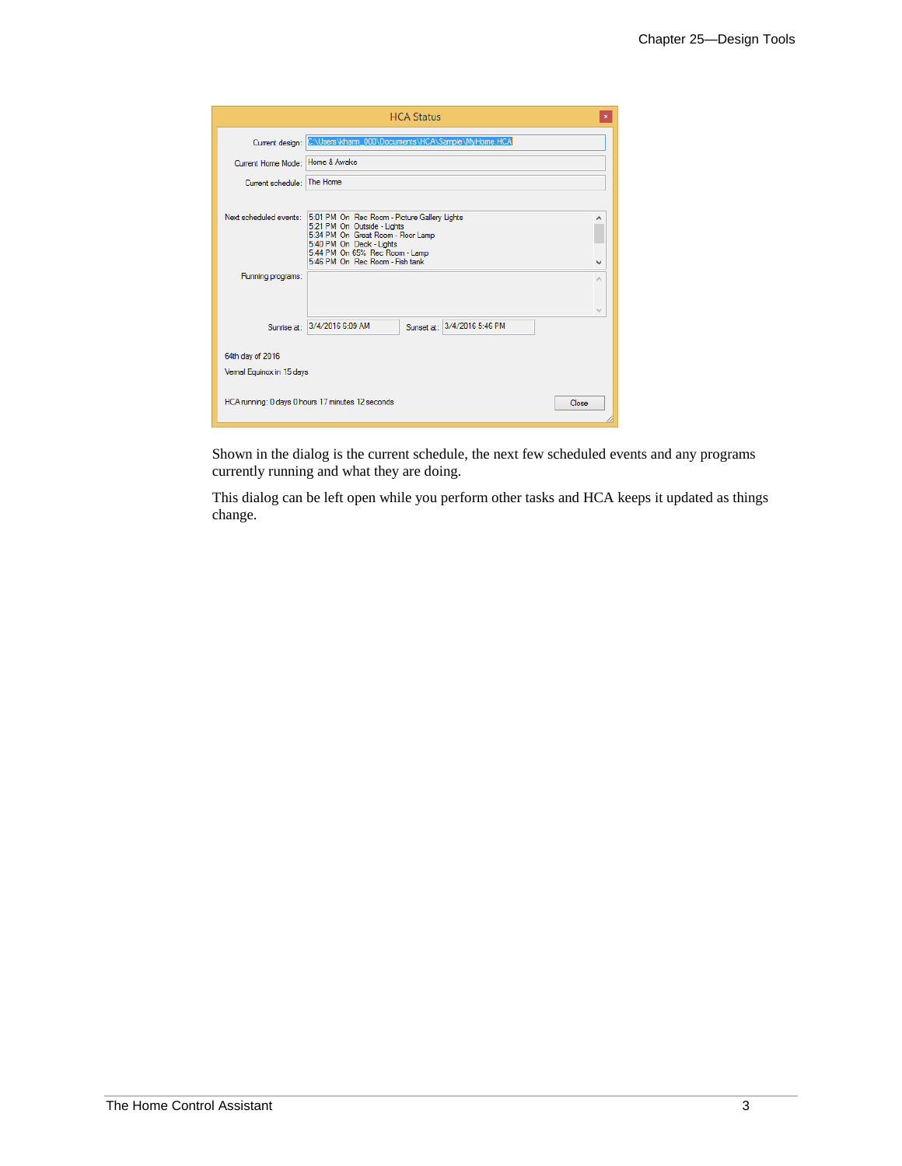|                                              | <b>HCA Status</b>                                                                                                                                                                                                  |   |
|----------------------------------------------|--------------------------------------------------------------------------------------------------------------------------------------------------------------------------------------------------------------------|---|
|                                              | Current design: C:\Users\kham_000\Documents\HCA\Sample\MyHome.HCA                                                                                                                                                  |   |
| Current Home Mode: Home & Awake              |                                                                                                                                                                                                                    |   |
| Current schedule: The Home                   |                                                                                                                                                                                                                    |   |
| Next scheduled events:                       | 5:01 PM On Rec Room - Picture Gallery Lights<br>5:21 PM On Outside - Lights<br>5:34 PM On Great Room - Floor Lamp<br>5:40 PM On Deck - Lights<br>5:44 PM On 65% Rec Room - Lamp<br>5:46 PM On Rec Room - Fish tank | v |
| Running programs:                            |                                                                                                                                                                                                                    | ۸ |
| Sunrise at:                                  | 3/4/2016 6:09 AM<br>Sunset at: 3/4/2016 5:46 PM                                                                                                                                                                    | M |
| 64th day of 2016<br>Vemal Equinox in 15 days |                                                                                                                                                                                                                    |   |
|                                              | HCA running: 0 days 0 hours 17 minutes 12 seconds<br>Close                                                                                                                                                         |   |

Shown in the dialog is the current schedule, the next few scheduled events and any programs currently running and what they are doing.

This dialog can be left open while you perform other tasks and HCA keeps it updated as things change.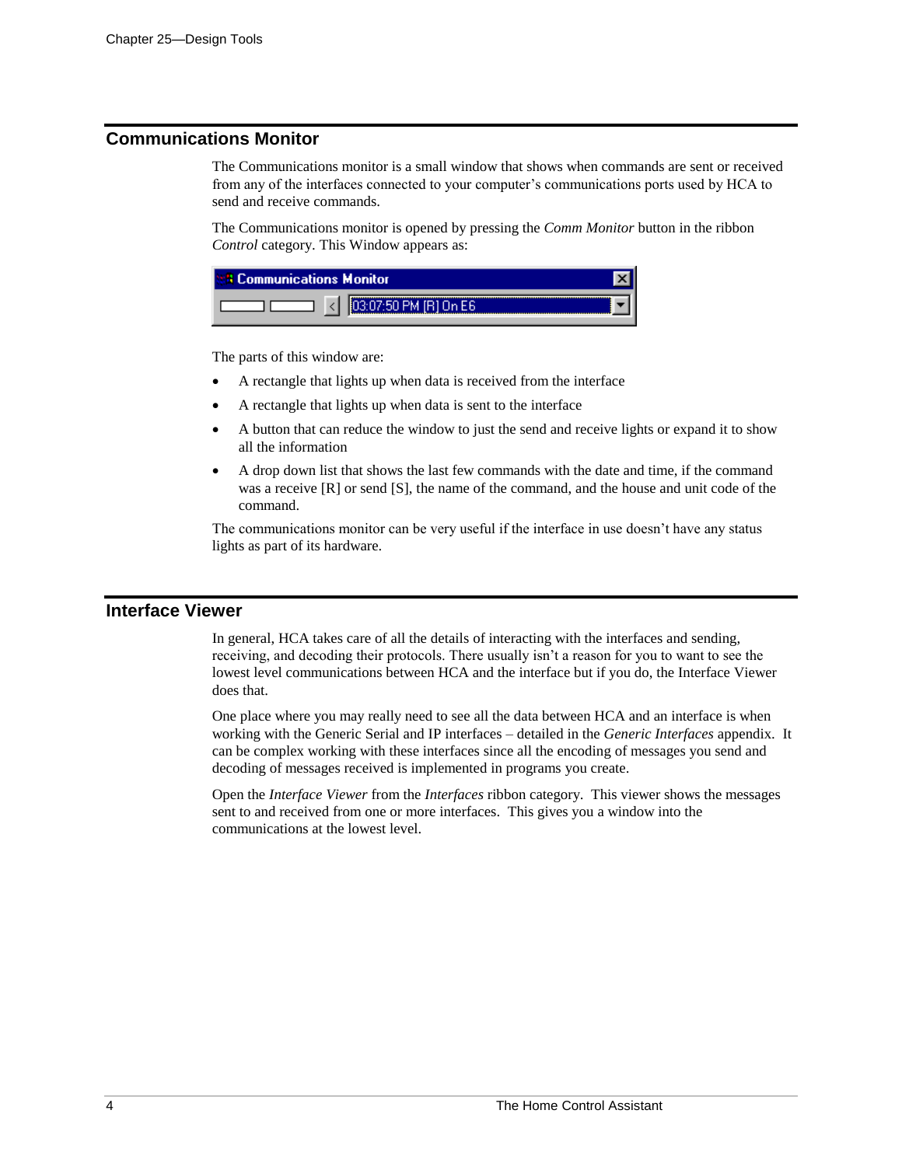# **Communications Monitor**

The Communications monitor is a small window that shows when commands are sent or received from any of the interfaces connected to your computer's communications ports used by HCA to send and receive commands.

The Communications monitor is opened by pressing the *Comm Monitor* button in the ribbon *Control* category. This Window appears as:

| <b>1899 Communications Monitor</b> |                       |  |
|------------------------------------|-----------------------|--|
|                                    | 03:07:50 PM [B] On E6 |  |

The parts of this window are:

- A rectangle that lights up when data is received from the interface
- A rectangle that lights up when data is sent to the interface
- A button that can reduce the window to just the send and receive lights or expand it to show all the information
- A drop down list that shows the last few commands with the date and time, if the command was a receive [R] or send [S], the name of the command, and the house and unit code of the command.

The communications monitor can be very useful if the interface in use doesn't have any status lights as part of its hardware.

#### **Interface Viewer**

In general, HCA takes care of all the details of interacting with the interfaces and sending, receiving, and decoding their protocols. There usually isn't a reason for you to want to see the lowest level communications between HCA and the interface but if you do, the Interface Viewer does that.

One place where you may really need to see all the data between HCA and an interface is when working with the Generic Serial and IP interfaces – detailed in the *Generic Interfaces* appendix. It can be complex working with these interfaces since all the encoding of messages you send and decoding of messages received is implemented in programs you create.

Open the *Interface Viewer* from the *Interfaces* ribbon category. This viewer shows the messages sent to and received from one or more interfaces. This gives you a window into the communications at the lowest level.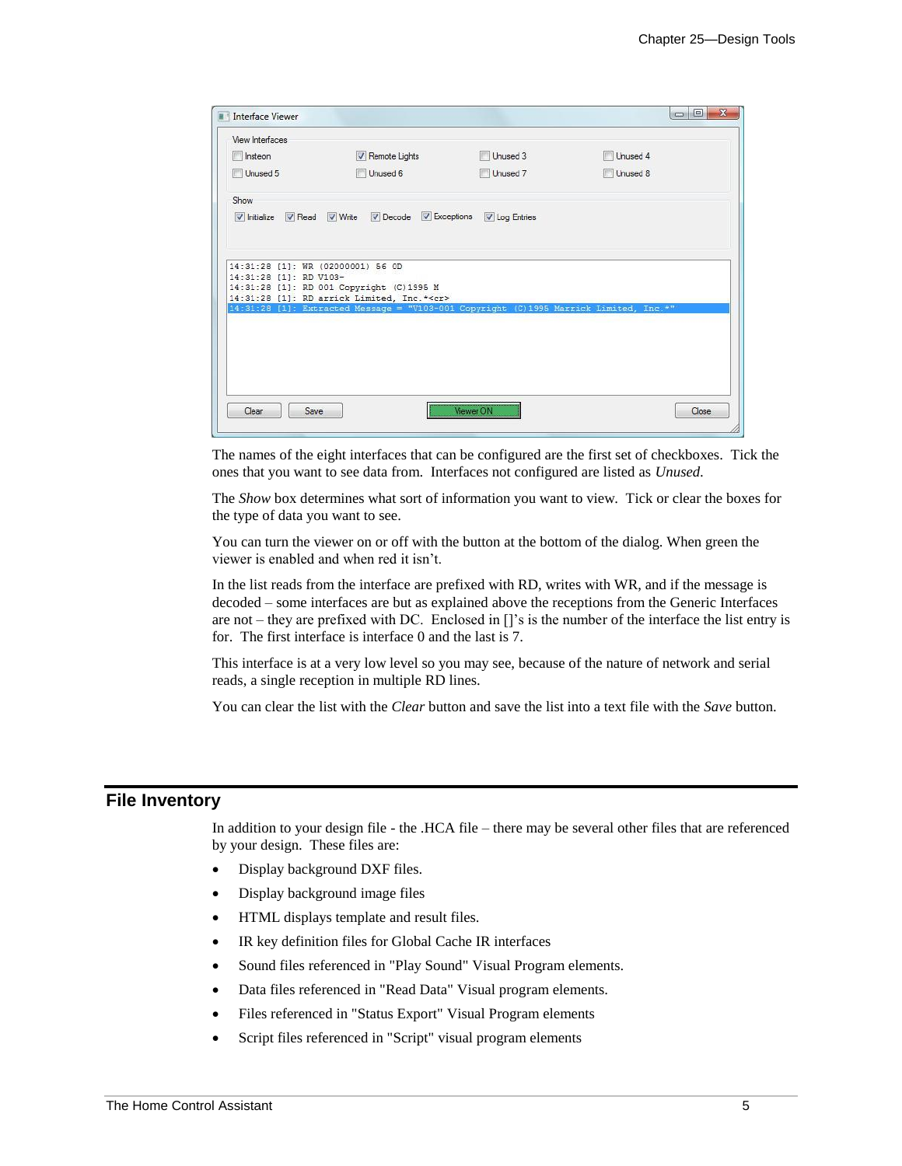| <b>Interface Viewer</b>                 |                                                                                       |               | $\overline{\mathbf{x}}$<br>$\Box$<br><b>COL</b> |
|-----------------------------------------|---------------------------------------------------------------------------------------|---------------|-------------------------------------------------|
| View Interfaces                         |                                                                                       |               |                                                 |
| Instean                                 | Remote Lights                                                                         | Unused 3      | Unused 4                                        |
| Unused 5                                | Unused 6                                                                              | Unused 7      | Unused 8                                        |
| Show                                    |                                                                                       |               |                                                 |
| Initialize <b>V</b> Read <b>V</b> Write | $\triangledown$ Decode $\triangledown$ Exceptions                                     | V Log Entries |                                                 |
| 14:31:28 [1]: WR (02000001) 56 OD       |                                                                                       |               |                                                 |
| 14:31:28 [1]: RD V103-                  | 14:31:28 [1]: RD 001 Copyright (C) 1995 M                                             |               |                                                 |
|                                         | 14:31:28 [1]: RD arrick Limited, Inc.* <cr></cr>                                      |               |                                                 |
|                                         | 14:31:28 [1]: Extracted Message = "V103-001 Copyright (C)1995 Marrick Limited, Inc.*" |               |                                                 |
|                                         |                                                                                       |               |                                                 |
|                                         |                                                                                       |               |                                                 |
|                                         |                                                                                       |               |                                                 |
|                                         |                                                                                       |               |                                                 |
|                                         |                                                                                       |               |                                                 |
| Clear<br>Save                           |                                                                                       | Viewer ON     | Close                                           |
|                                         |                                                                                       |               |                                                 |

The names of the eight interfaces that can be configured are the first set of checkboxes. Tick the ones that you want to see data from. Interfaces not configured are listed as *Unused.*

The *Show* box determines what sort of information you want to view. Tick or clear the boxes for the type of data you want to see.

You can turn the viewer on or off with the button at the bottom of the dialog. When green the viewer is enabled and when red it isn't.

In the list reads from the interface are prefixed with RD, writes with WR, and if the message is decoded – some interfaces are but as explained above the receptions from the Generic Interfaces are not – they are prefixed with DC. Enclosed in []'s is the number of the interface the list entry is for. The first interface is interface 0 and the last is 7.

This interface is at a very low level so you may see, because of the nature of network and serial reads, a single reception in multiple RD lines.

You can clear the list with the *Clear* button and save the list into a text file with the *Save* button.

## **File Inventory**

In addition to your design file - the .HCA file – there may be several other files that are referenced by your design. These files are:

- Display background DXF files.
- Display background image files
- HTML displays template and result files.
- IR key definition files for Global Cache IR interfaces
- Sound files referenced in "Play Sound" Visual Program elements.
- Data files referenced in "Read Data" Visual program elements.
- Files referenced in "Status Export" Visual Program elements
- Script files referenced in "Script" visual program elements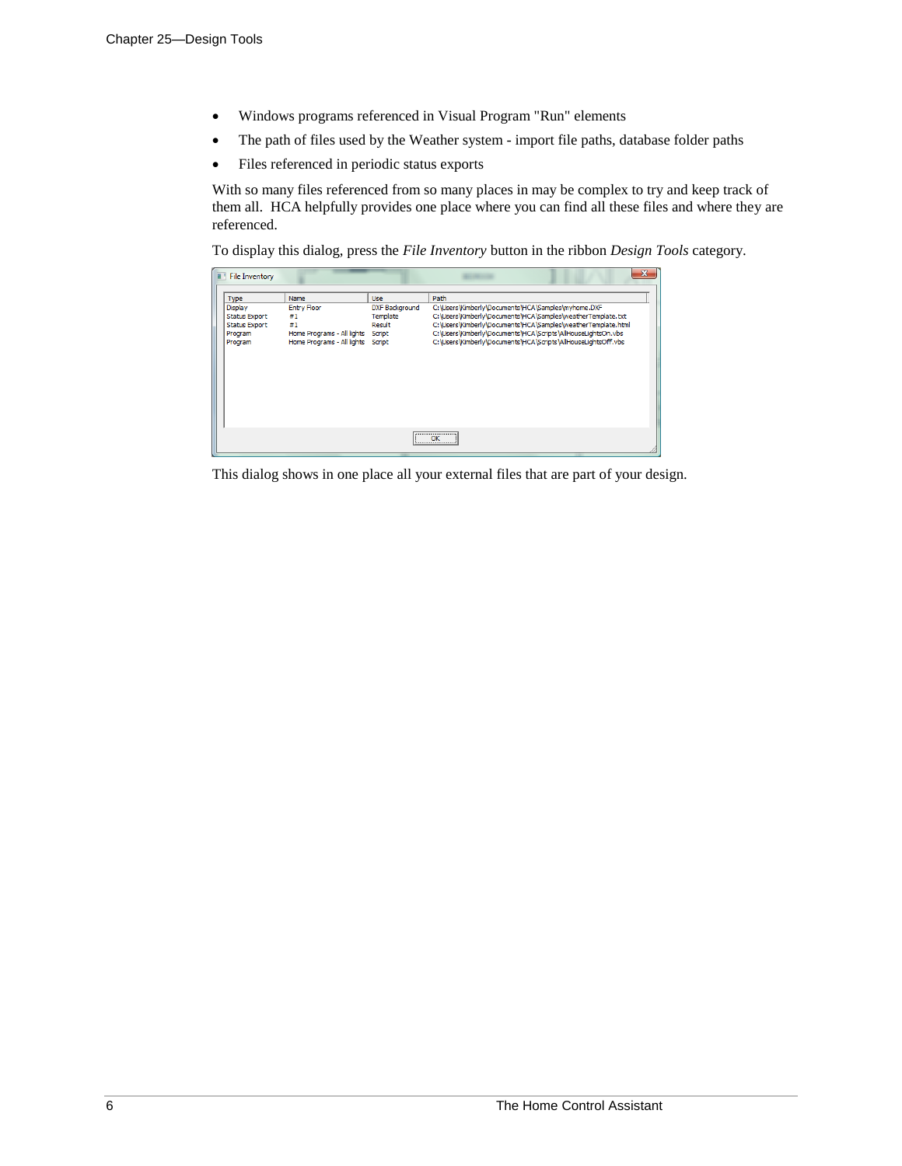- Windows programs referenced in Visual Program "Run" elements
- The path of files used by the Weather system import file paths, database folder paths
- Files referenced in periodic status exports

With so many files referenced from so many places in may be complex to try and keep track of them all. HCA helpfully provides one place where you can find all these files and where they are referenced.

To display this dialog, press the *File Inventory* button in the ribbon *Design Tools* category.

| п | <b>File Inventory</b>                                                                        |                                                                                                           |                                                                     |                                                                                                                                                                                                                                                                                                                                 |  |  |
|---|----------------------------------------------------------------------------------------------|-----------------------------------------------------------------------------------------------------------|---------------------------------------------------------------------|---------------------------------------------------------------------------------------------------------------------------------------------------------------------------------------------------------------------------------------------------------------------------------------------------------------------------------|--|--|
|   | Type<br><b>Display</b><br><b>Status Export</b><br><b>Status Export</b><br>Program<br>Program | Name<br><b>Entry Floor</b><br>#1<br>#1<br>Home Programs - All lights<br>Home Programs - All lights Script | <b>Use</b><br><b>DXF Background</b><br>Template<br>Result<br>Script | Path<br>C: \Users \Kimberly \Documents \HCA\Samples \myhome.DXF<br>C:\Users\Kimberly\Documents\HCA\Samples\weatherTemplate.txt<br>C:\Users\Kimberly\Documents\HCA\Samples\weatherTemplate.html<br>C:\Users\Kimberly\Documents\HCA\Scripts\AllHouseLightsOn.vbs<br>C:\Users\Kimberly\Documents\HCA\Scripts\AllHouseLightsOff.vbs |  |  |
|   | --------------------------------<br>OK                                                       |                                                                                                           |                                                                     |                                                                                                                                                                                                                                                                                                                                 |  |  |

This dialog shows in one place all your external files that are part of your design.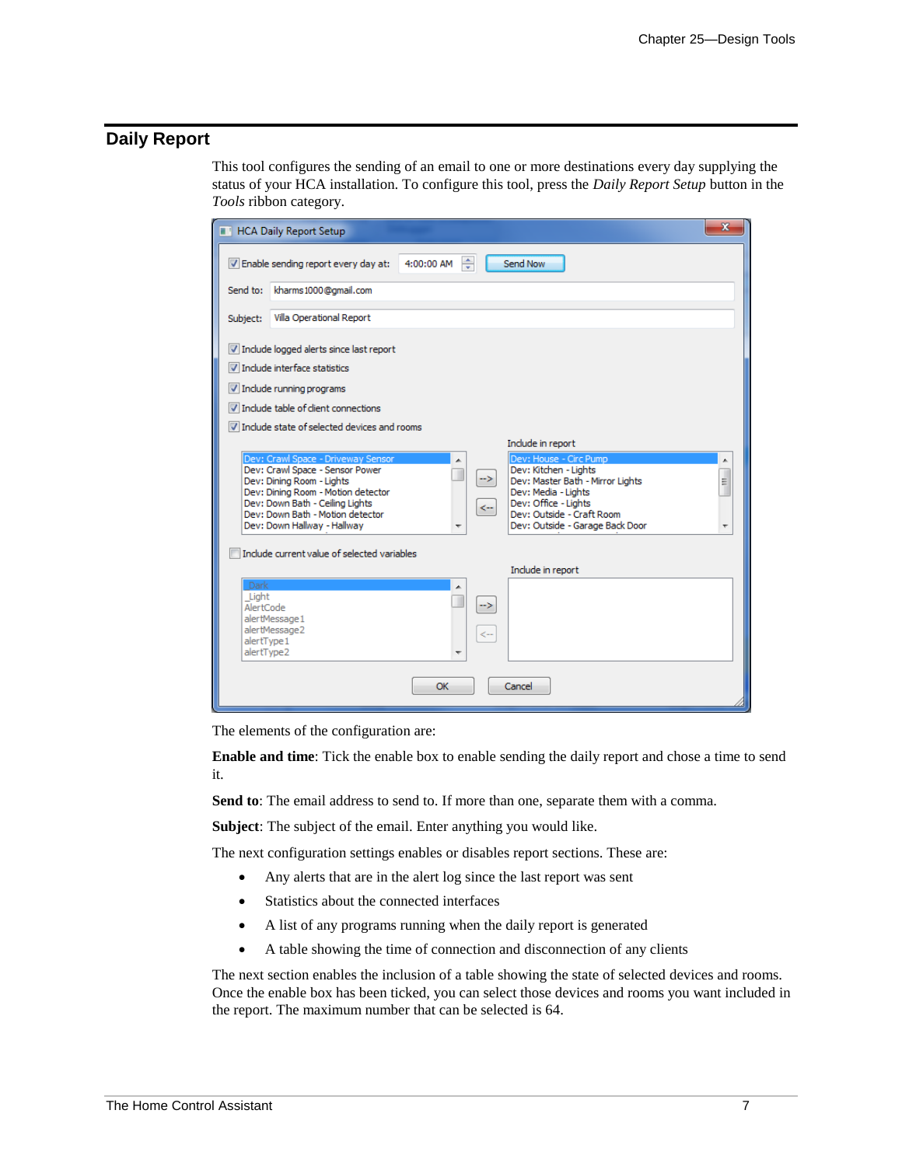# **Daily Report**

This tool configures the sending of an email to one or more destinations every day supplying the status of your HCA installation. To configure this tool, press the *Daily Report Setup* button in the *Tools* ribbon category.

| <b>No. HCA Daily Report Setup</b>                                                                                                                                                                                                                                                                                                                                                                                                                                                                                          | $\overline{\mathbf{x}}$ |  |  |  |  |
|----------------------------------------------------------------------------------------------------------------------------------------------------------------------------------------------------------------------------------------------------------------------------------------------------------------------------------------------------------------------------------------------------------------------------------------------------------------------------------------------------------------------------|-------------------------|--|--|--|--|
| ÷<br>4:00:00 AM<br>Send Now<br>V Enable sending report every day at:                                                                                                                                                                                                                                                                                                                                                                                                                                                       |                         |  |  |  |  |
| kharms 1000@gmail.com<br>Send to:                                                                                                                                                                                                                                                                                                                                                                                                                                                                                          |                         |  |  |  |  |
| Villa Operational Report<br>Subject:                                                                                                                                                                                                                                                                                                                                                                                                                                                                                       |                         |  |  |  |  |
| V Include logged alerts since last report<br>Include interface statistics<br>$\triangledown$ Include running programs<br>Include table of client connections                                                                                                                                                                                                                                                                                                                                                               |                         |  |  |  |  |
| Include state of selected devices and rooms<br>Include in report                                                                                                                                                                                                                                                                                                                                                                                                                                                           |                         |  |  |  |  |
| Dev: Crawl Space - Driveway Sensor<br>Dev: House - Circ Pump<br>Dev: Kitchen - Lights<br>Dev: Crawl Space - Sensor Power<br>->∣<br>Dev: Dining Room - Lights<br>Dev: Master Bath - Mirror Lights<br>Dev: Dining Room - Motion detector<br>Dev: Media - Lights<br>Dev: Down Bath - Ceiling Lights<br>Dev: Office - Lights<br>$\leftarrow$<br>Dev: Outside - Craft Room<br>Dev: Down Bath - Motion detector<br>Dev: Down Hallway - Hallway<br>Dev: Outside - Garage Back Door<br>Include current value of selected variables | ▲<br>Ξ                  |  |  |  |  |
| Include in report                                                                                                                                                                                                                                                                                                                                                                                                                                                                                                          |                         |  |  |  |  |
| Dark<br>Light<br>-><br>AlertCode<br>alertMessage1<br>alertMessage2<br><-<br>alertType1<br>alertType2                                                                                                                                                                                                                                                                                                                                                                                                                       |                         |  |  |  |  |
| OK<br>Cancel                                                                                                                                                                                                                                                                                                                                                                                                                                                                                                               |                         |  |  |  |  |

The elements of the configuration are:

**Enable and time**: Tick the enable box to enable sending the daily report and chose a time to send it.

**Send to**: The email address to send to. If more than one, separate them with a comma.

**Subject**: The subject of the email. Enter anything you would like.

The next configuration settings enables or disables report sections. These are:

- Any alerts that are in the alert log since the last report was sent
- Statistics about the connected interfaces
- A list of any programs running when the daily report is generated
- A table showing the time of connection and disconnection of any clients

The next section enables the inclusion of a table showing the state of selected devices and rooms. Once the enable box has been ticked, you can select those devices and rooms you want included in the report. The maximum number that can be selected is 64.